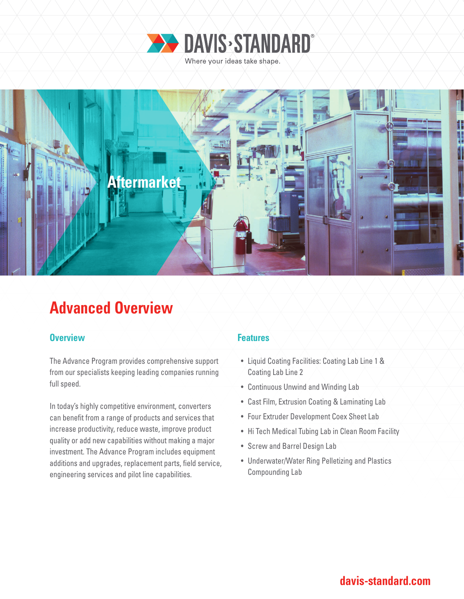



# **Advanced Overview**

### **Overview Allenting the Allenting Contract Contract Contract Features**

The Advance Program provides comprehensive support from our specialists keeping leading companies running full speed.

In today's highly competitive environment, converters can benefit from a range of products and services that increase productivity, reduce waste, improve product quality or add new capabilities without making a major investment. The Advance Program includes equipment additions and upgrades, replacement parts, field service, engineering services and pilot line capabilities.

- Liquid Coating Facilities: Coating Lab Line 1 & Coating Lab Line 2
- Continuous Unwind and Winding Lab
- Cast Film, Extrusion Coating & Laminating Lab
- Four Extruder Development Coex Sheet Lab
- Hi Tech Medical Tubing Lab in Clean Room Facility
- Screw and Barrel Design Lab
- Underwater/Water Ring Pelletizing and Plastics Compounding Lab

## **davis-standard.com**